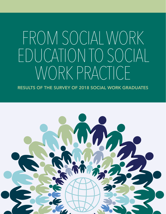# FROM SOCIAL WORK EDUCATION TO SOCIAL WORK PRACTICE

RESULTS OF THE SURVEY OF 2018 SOCIAL WORK GRADUATES

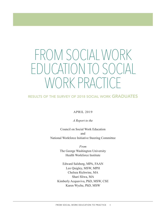# FROM SOCIAL WORK  $\bigcap_{i=1}^n \bigcap_{i=1}^n \bigcup_{i=1}^n \bigcap_{i=1}^n \bigcap_{i=1}^n \bigcap_{i=1}^n \bigcap_{i=1}^n \bigcap_{i=1}^n \bigcap_{i=1}^n \bigcap_{i=1}^n \bigcap_{i=1}^n \bigcap_{i=1}^n \bigcap_{i=1}^n \bigcap_{i=1}^n \bigcap_{i=1}^n \bigcap_{i=1}^n \bigcap_{i=1}^n \bigcap_{i=1}^n \bigcap_{i=1}^n \bigcap_{i=1}^n \bigcap_{i=1}^n \bigcap_{i=1}^n$ ORK PRACTI

### RESULTS OF THE SURVEY OF 2018 SOCIAL WORK GRADUATES

### APRIL 2019

*A Report to the*

Council on Social Work Education and National Workforce Initiative Steering Committee

> *From*  The George Washington University Health Workforce Institute

Edward Salsberg, MPA, FAAN Leo Quigley, MSW, MPH Chelsea Richwine, MA Shari Sliwa, MA Kimberly Acquaviva, PhD, MSW, CSE Karen Wyche, PhD, MSW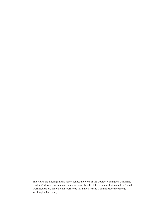The views and findings in this report reflect the work of the George Washington University Health Workforce Institute and do not necessarily reflect the views of the Council on Social Work Education, the National Workforce Initiative Steering Committee, or the George Washington University.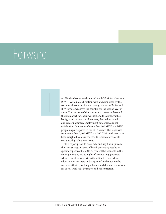### Forward

 $\overline{\phantom{a}}$ 

n 2018 the George Washington Health Workforce Institute (GW-HWI), in collaboration with and supported by the social work community, surveyed graduates of MSW and BSW programs across the country for the second year in a row. The purpose of this survey is to better understand the job market for social workers and the demographic background of new social workers, their educational and career pathways, employment outcomes, and job satisfaction. Graduates of more than 100 MSW and BSW programs participated in the 2018 survey. The responses from more than 1,400 MSW and 300 BSW graduates have been weighted to make the results representative of all social work graduates in 2018.

This report presents basic data and key findings from the 2018 survey. A series of briefs presenting results on specific aspects of the 2018 survey will be available in the coming months, including briefs comparing graduates whose education was primarily online to those whose education was in-person, background and outcomes by race and ethnicity of the graduates, and demand indicators for social work jobs by region and concentration.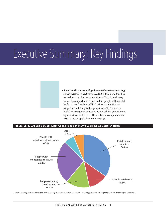## Executive Summary: Key Findings

*• Social workers are employed in a wide variety of settings serving clients with diverse needs.* Children and families were the focus of more than a third of MSW graduates; more than a quarter were focused on people with mental health issues (see Figure ES-1). More than 30% work for private not-for-profit organizations, 28% work for health-care organizations, and 17% work for government agencies (see Table ES-1). The skills and competencies of MSWs can be applied in many settings.



Note: Percentages are of those who were working in positions as social workers, including positions not requiring a social work degree or license.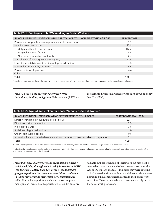| Table ES-1: Employers of MSWs Working as Social Workers              |                   |  |  |
|----------------------------------------------------------------------|-------------------|--|--|
| IN YOUR PRINCIPAL POSITION WHO ARE YOU (OR WILL YOU BE) WORKING FOR? | <b>PERCENTAGE</b> |  |  |
| Private, not-for-profit, tax-exempt or charitable organization       | 31.1              |  |  |
| Health care organizations:                                           | 27.9              |  |  |
| Outpatient health care services                                      | (16.3)            |  |  |
| Hospital inpatient facility                                          | (8.9)             |  |  |
| Nursing or residential care facility                                 | (2.7)             |  |  |
| State, local or federal government agency                            | 17.4              |  |  |
| Educational establishment outside of higher education                | 7.3               |  |  |
| Private, for-profit facility or business                             | 4.6               |  |  |
| Private social work practice                                         | 4.6               |  |  |
| Other                                                                | 7.2               |  |  |
| Total                                                                | 100               |  |  |

Note: Percentages are of those who were working in positions as social workers, including those not requiring a social work degree or license.

• *Most new MSWs are providing direct services to individuals, families, and groups.* Relatively few (7.8%) are providing indirect social work services, such as public policy (see Table ES-2).

| Table ES-2: Type of Jobs Taken for Those Working as Social Workers                     |                      |  |  |
|----------------------------------------------------------------------------------------|----------------------|--|--|
| IN YOUR PRINCIPAL POSITION WHAT BEST DESCRIBES YOUR ROLE?                              | PERCENTAGE (N=1,039) |  |  |
| Direct work with individuals, families, or groups                                      | 82.1                 |  |  |
| Direct work with communities                                                           | 5.3                  |  |  |
| Indirect social work <sup>a</sup>                                                      | 7.8                  |  |  |
| Social work higher education                                                           | 1.0                  |  |  |
| Other social work position                                                             | 0.6                  |  |  |
| A position for which you believe a social work education provides relevant preparation | 3.1                  |  |  |
| Total                                                                                  | 100                  |  |  |
|                                                                                        |                      |  |  |

Note: Percentages are of those who entered positions as social workers, including positions not requiring a social work degree or license.

a Indirect social work includes public policy and advocacy; administration, management; planning; program evaluation; research (excluding teaching positions); or environmental health or public health work.

• *More than three-quarters of MSW graduates are entering social work jobs, although not all such jobs require an MSW (see Table ES-3). More than 17% of MSW graduates are going into positions that do not have social work titles but in which they are using their social work education and skills.* This includes positions such as case worker, project manager, and mental health specialist. These individuals are

valuable outputs of schools of social work but may not be counted on government and other surveys as social workers. About 6% of MSW graduates indicated they were entering or had entered positions without a social work title and were not using skills/competencies learned in their social work education. These individuals are at least temporarily out of the social work profession.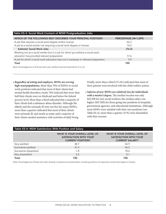| Table ES-3: Social Work Content of MSW Postgraduation Jobs                              |                      |
|-----------------------------------------------------------------------------------------|----------------------|
| WHICH OF THE FOLLOWING BEST DESCRIBES YOUR PRINCIPAL POSITION?                          | PERCENTAGE (N=1,099) |
| A job that requires a social work degree and/or license                                 | 62.3                 |
| A job as a social worker not requiring a social work degree or license                  | 14.2                 |
| <b>Subtotal: Social Work Jobs</b>                                                       | (76.5)               |
| Working not as a social worker but in a job for which you believe a social work         |                      |
| education has provided relevant preparation                                             | 17.6                 |
| A job for which a social work education was not a necessary or relevant preparation     | 5.9                  |
| Total                                                                                   | 100                  |
| Note: Percentages are of all those with a job, whether they had searched for it or not. |                      |

• *Regardless of setting and employer, MSWs are serving high-need populations.* More than 70% of MSWs in social work positions indicated that most of their clients had mental health disorders; nearly 70% indicted that more than half their clients were on Medicaid and below the federal poverty level. More than a third indicated that a majority of their clients had a substance abuse disorder. Although the elderly and the seriously ill were not foci for many MSWs, more than a quarter indicated that most of their clients were seriously ill, and nearly as many said a majority of their clients needed assistance with activities of daily living.

Finally, more than a third (37.2%) indicated that most of their patients were involved with the child welfare system.

• *Salaries of new MSWs are relatively low for individuals with a master's degree.* The median income was only \$42,500 for new social workers; the median salary was higher (\$47,500) for those going into positions in hospitals, government agencies, and educational institutions. Although most MSWs were satisfied with their new positions (see Table ES-4), more than a quarter (27%) were dissatisfied with their income.

| Table ES-4: MSW Satisfaction With Position and Salary |                                                                                                   |                                                                                                 |  |
|-------------------------------------------------------|---------------------------------------------------------------------------------------------------|-------------------------------------------------------------------------------------------------|--|
|                                                       | <b>WHAT IS YOUR OVERALL LEVEL OF</b><br><b>SATISFACTION WITH YOUR</b><br><b>CURRENT POSITION?</b> | <b>WHAT IS YOUR OVERALL LEVEL OF</b><br><b>SATISFACTION WITH YOUR</b><br><b>CURRENT SALARY?</b> |  |
| Very satisfied                                        | 48.7                                                                                              | 26.9                                                                                            |  |
| Somewhat satisfied                                    | 41.4                                                                                              | 46.5                                                                                            |  |
| Somewhat dissatisfied                                 | 7.8                                                                                               | 18.6                                                                                            |  |
| Very dissatisfied                                     | 2.2                                                                                               | 8.1                                                                                             |  |
| Total                                                 | 100                                                                                               | 100                                                                                             |  |

Note: Percentages are of those who were working in positions as social workers, including positions not requiring a social work degree or license.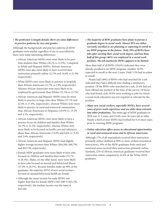### *• The profession is largely female; there are some differences in practice patterns by race and gender.*

Although the backgrounds and practice patterns of MSW graduates were similar regardless of sex or race/ethnicity, there were some interesting differences:

- African American MSWs were more likely to be parttime students than Whites (28.1% vs 21.9%). Compared to White and Hispanic MSWs, African American MSWs were also more likely to have received their instruction primarily online (12.3% and 16.6% vs 21.9%, respectively).
- White MSWs were more likely to practice in hospitals than African Americans (11.7% vs 1.9%, respectively), whereas African Americans were more likely to be employed by government than Whites (21.3% vs 15.7%)
- African American and Hispanic MSWs were far more likely to practice in large cities than Whites (37.7% and 42.4% vs 17.8%, respectively), whereas Whites were more likely to practice in rural and semirural communities than African Americans or Hispanics (18.9% vs. 13.2% and 4.1%, respectively).
- African American MSWs were more likely to have a practice focus on children and families than Whites (41.9% vs 31.9%, respectively), whereas Whites were more likely to be focused on health care and substance abuse than African Americans (14.6% and 6.6% vs. 9.2% and 2.6%, respectively).
- African American and Hispanic MSWs had slightly higher average incomes than Whites (\$44,500, \$48,750, and \$43,750, respectively).
- Female MSW graduates were more likely to have jobs focused on children and families than males (35.7% vs 26.4%). Males, on the other hand, were more likely to have jobs focused on mental and behavioral illness (37.0% vs 26.5%). Because females make up 90% of the graduates, the majority (85%) of new social workers focused on mental/behavioral health are female.
- Although the mean income for male MSWs was higher than that for female MSWs (\$47,500 vs \$43,750, respectively), the median income was the same at \$42,500.

*• The majority of BSW graduates have plans to pursue a graduate degree in social work: Almost 95% are either currently enrolled or are planning or expecting to enroll in an MSW program in the future. Only 59% of BSWs have jobs after earning their social work degree, and less than half of this group (46%) are employed in a social work position. The job market for BSWs appears to be limited.*

More than half of all BSWs (59.6%) indicated they were already enrolled in an MSW program. Another 18.9% expected to enroll in the next 2 years. Only 5.5% had no plans to enroll.

Nearly half (48%) of BSWs who had searched for a job indicated they had a difficult time finding a satisfactory position. Of the BSWs who searched for a job, 25.6% had not been offered any position at the time of the survey. Of those who had found a job, 30.9% were working in jobs for which a social work education was not required or relevant for the position.

• *Many new social workers, especially MSWs, have several years of prior work experience and are older than entrants into other professions.* The mean age of MSW graduates in 2018 was 31.3 years, and 23.6% were 36 years old or older. Nearly a third of new MSWs had worked for 6 or more years prior to entering MSW programs.

#### • *Online education offers access to educational opportunities in rural and semirural areas and to African Americans.*

Although 17% of all respondents received their instruction primarily online (defined as 90% or more of their nonclinical instruction), 39% of the MSW graduates from rural and semirural areas received their instruction primarily online. Similarly, 22% of African American graduates received their instruction online compared to 16.6% of the White MSW graduates.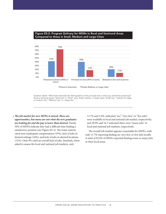

#### Figure ES-2: Program Delivery for MSWs in Rural and Semirural Areas Compared to those in Small, Medium and Large Cities

Question asked: "Which best describes the demographics of the principal area in which you are/will be practicing?" Rural or semirural areas="Semirural" or "Rural" area. Small, medium, or large cities="Small city," "Suburb of a large or medium city," "Medium city," or "Large city."

• *The job market for new MSWs is mixed: There are opportunities, but many are not what the new graduates are looking for and the pay is lower than desired.* Nearly 50% of MSWs indicate they had a difficult time finding a satisfactory position (see Figure ES-3). The main reasons cited were inadequate compensation (33%), lack of jobs in desired settings (16%), and lack of jobs in desired locations (11%). Only 9% cited an overall lack of jobs. Similarly, when asked to assess the local and national job markets, only

11.7% and 5.4%, indicated "no," "very few," or "few jobs" were available in local and national job market, respectively; and 38.9% and 54.7 indicated there were "many jobs" in local and national job markets, respectively.

The overall job market appears reasonable for MSWs, with only 11.7% reporting finding no, very few, or few jobs locally. A total of 82.6% of MSWs reported finding some or many jobs in their local areas.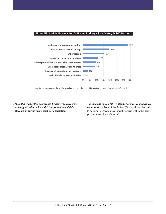#### Figure ES-3: Main Reasons for Difficulty Finding a Satisfactory MSW Position



Note: Percentages are of those who searched and said they had difficulty finding a job they were satisfied with.

• *More than one of three jobs taken by new graduates were with organizations with which the graduates had field placements during their social work education.* 

• *The majority of new MSWs plan to become licensed clinical social workers.* Four of five MSWs (80.6%) either planned to become licensed clinical social workers within the next 5 years or were already licensed.